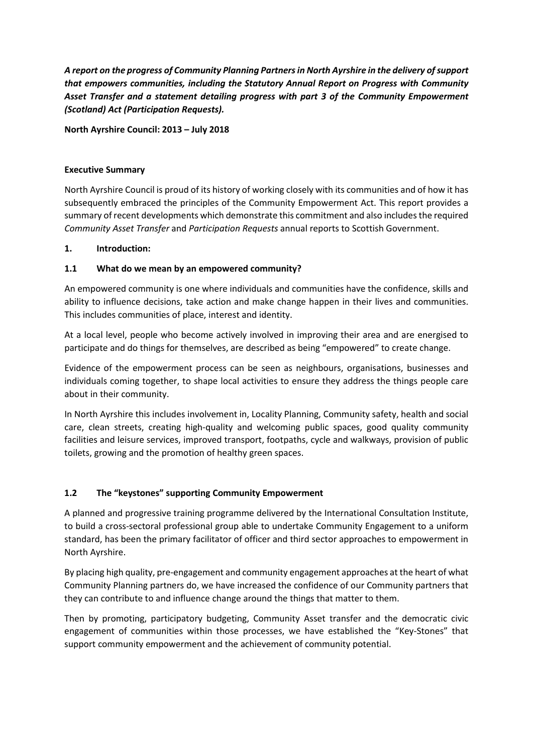*A report on the progress of Community Planning Partners in North Ayrshire in the delivery of support that empowers communities, including the Statutory Annual Report on Progress with Community Asset Transfer and a statement detailing progress with part 3 of the Community Empowerment (Scotland) Act (Participation Requests).* 

**North Ayrshire Council: 2013 – July 2018** 

### **Executive Summary**

North Ayrshire Council is proud of its history of working closely with its communities and of how it has subsequently embraced the principles of the Community Empowerment Act. This report provides a summary of recent developments which demonstrate this commitment and also includes the required *Community Asset Transfer* and *Participation Requests* annual reports to Scottish Government.

### **1. Introduction:**

# **1.1 What do we mean by an empowered community?**

An empowered community is one where individuals and communities have the confidence, skills and ability to influence decisions, take action and make change happen in their lives and communities. This includes communities of place, interest and identity.

At a local level, people who become actively involved in improving their area and are energised to participate and do things for themselves, are described as being "empowered" to create change.

Evidence of the empowerment process can be seen as neighbours, organisations, businesses and individuals coming together, to shape local activities to ensure they address the things people care about in their community.

In North Ayrshire this includes involvement in, Locality Planning, Community safety, health and social care, clean streets, creating high-quality and welcoming public spaces, good quality community facilities and leisure services, improved transport, footpaths, cycle and walkways, provision of public toilets, growing and the promotion of healthy green spaces.

# **1.2 The "keystones" supporting Community Empowerment**

A planned and progressive training programme delivered by the International Consultation Institute, to build a cross-sectoral professional group able to undertake Community Engagement to a uniform standard, has been the primary facilitator of officer and third sector approaches to empowerment in North Ayrshire.

By placing high quality, pre-engagement and community engagement approaches at the heart of what Community Planning partners do, we have increased the confidence of our Community partners that they can contribute to and influence change around the things that matter to them.

Then by promoting, participatory budgeting, Community Asset transfer and the democratic civic engagement of communities within those processes, we have established the "Key-Stones" that support community empowerment and the achievement of community potential.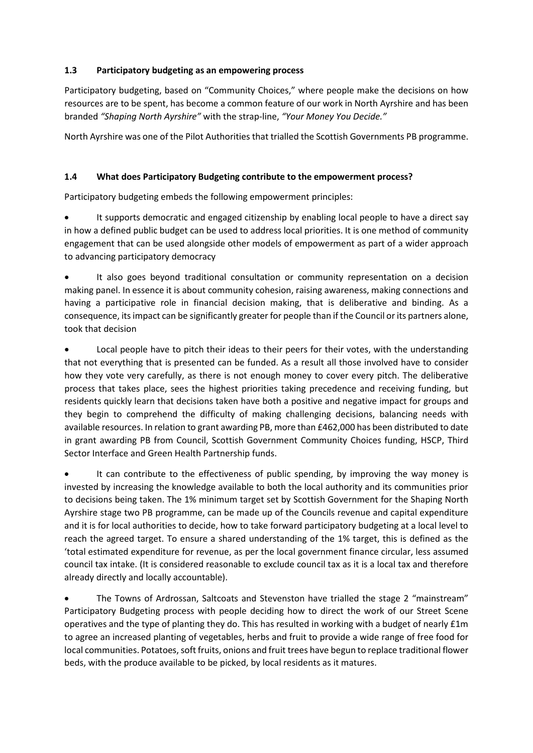# **1.3 Participatory budgeting as an empowering process**

Participatory budgeting, based on "Community Choices," where people make the decisions on how resources are to be spent, has become a common feature of our work in North Ayrshire and has been branded *"Shaping North Ayrshire"* with the strap-line, *"Your Money You Decide."*

North Ayrshire was one of the Pilot Authorities that trialled the Scottish Governments PB programme.

# **1.4 What does Participatory Budgeting contribute to the empowerment process?**

Participatory budgeting embeds the following empowerment principles:

• It supports democratic and engaged citizenship by enabling local people to have a direct say in how a defined public budget can be used to address local priorities. It is one method of community engagement that can be used alongside other models of empowerment as part of a wider approach to advancing participatory democracy

It also goes beyond traditional consultation or community representation on a decision making panel. In essence it is about community cohesion, raising awareness, making connections and having a participative role in financial decision making, that is deliberative and binding. As a consequence, its impact can be significantly greater for people than if the Council or its partners alone, took that decision

Local people have to pitch their ideas to their peers for their votes, with the understanding that not everything that is presented can be funded. As a result all those involved have to consider how they vote very carefully, as there is not enough money to cover every pitch. The deliberative process that takes place, sees the highest priorities taking precedence and receiving funding, but residents quickly learn that decisions taken have both a positive and negative impact for groups and they begin to comprehend the difficulty of making challenging decisions, balancing needs with available resources. In relation to grant awarding PB, more than £462,000 has been distributed to date in grant awarding PB from Council, Scottish Government Community Choices funding, HSCP, Third Sector Interface and Green Health Partnership funds.

• It can contribute to the effectiveness of public spending, by improving the way money is invested by increasing the knowledge available to both the local authority and its communities prior to decisions being taken. The 1% minimum target set by Scottish Government for the Shaping North Ayrshire stage two PB programme, can be made up of the Councils revenue and capital expenditure and it is for local authorities to decide, how to take forward participatory budgeting at a local level to reach the agreed target. To ensure a shared understanding of the 1% target, this is defined as the 'total estimated expenditure for revenue, as per the local government finance circular, less assumed council tax intake. (It is considered reasonable to exclude council tax as it is a local tax and therefore already directly and locally accountable).

• The Towns of Ardrossan, Saltcoats and Stevenston have trialled the stage 2 "mainstream" Participatory Budgeting process with people deciding how to direct the work of our Street Scene operatives and the type of planting they do. This has resulted in working with a budget of nearly £1m to agree an increased planting of vegetables, herbs and fruit to provide a wide range of free food for local communities. Potatoes, soft fruits, onions and fruit trees have begun to replace traditional flower beds, with the produce available to be picked, by local residents as it matures.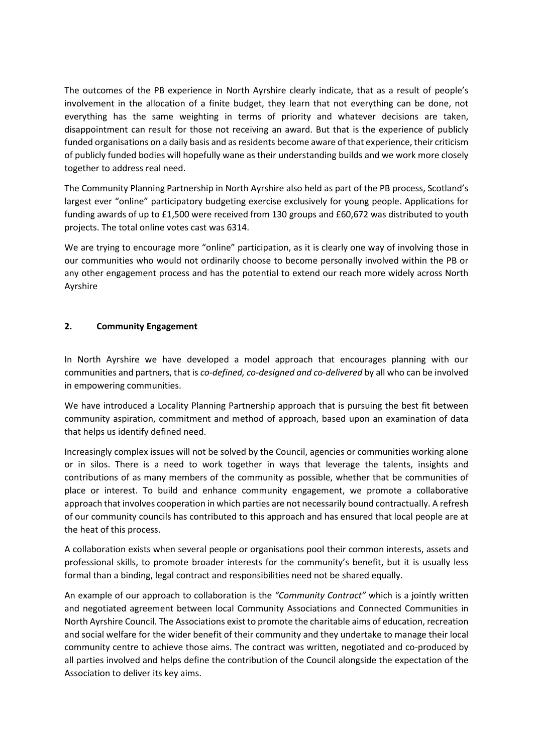The outcomes of the PB experience in North Ayrshire clearly indicate, that as a result of people's involvement in the allocation of a finite budget, they learn that not everything can be done, not everything has the same weighting in terms of priority and whatever decisions are taken, disappointment can result for those not receiving an award. But that is the experience of publicly funded organisations on a daily basis and as residents become aware of that experience, their criticism of publicly funded bodies will hopefully wane as their understanding builds and we work more closely together to address real need.

The Community Planning Partnership in North Ayrshire also held as part of the PB process, Scotland's largest ever "online" participatory budgeting exercise exclusively for young people. Applications for funding awards of up to £1,500 were received from 130 groups and £60,672 was distributed to youth projects. The total online votes cast was 6314.

We are trying to encourage more "online" participation, as it is clearly one way of involving those in our communities who would not ordinarily choose to become personally involved within the PB or any other engagement process and has the potential to extend our reach more widely across North Ayrshire

### **2. Community Engagement**

In North Ayrshire we have developed a model approach that encourages planning with our communities and partners, that is *co-defined, co-designed and co-delivered* by all who can be involved in empowering communities.

We have introduced a Locality Planning Partnership approach that is pursuing the best fit between community aspiration, commitment and method of approach, based upon an examination of data that helps us identify defined need.

Increasingly complex issues will not be solved by the Council, agencies or communities working alone or in silos. There is a need to work together in ways that leverage the talents, insights and contributions of as many members of the community as possible, whether that be communities of place or interest. To build and enhance community engagement, we promote a collaborative approach that involves cooperation in which parties are not necessarily bound contractually. A refresh of our community councils has contributed to this approach and has ensured that local people are at the heat of this process.

A collaboration exists when several people or organisations pool their common interests, assets and professional skills, to promote broader interests for the community's benefit, but it is usually less formal than a binding, legal contract and responsibilities need not be shared equally.

An example of our approach to collaboration is the *"Community Contract"* which is a jointly written and negotiated agreement between local Community Associations and Connected Communities in North Ayrshire Council. The Associations exist to promote the charitable aims of education, recreation and social welfare for the wider benefit of their community and they undertake to manage their local community centre to achieve those aims. The contract was written, negotiated and co-produced by all parties involved and helps define the contribution of the Council alongside the expectation of the Association to deliver its key aims.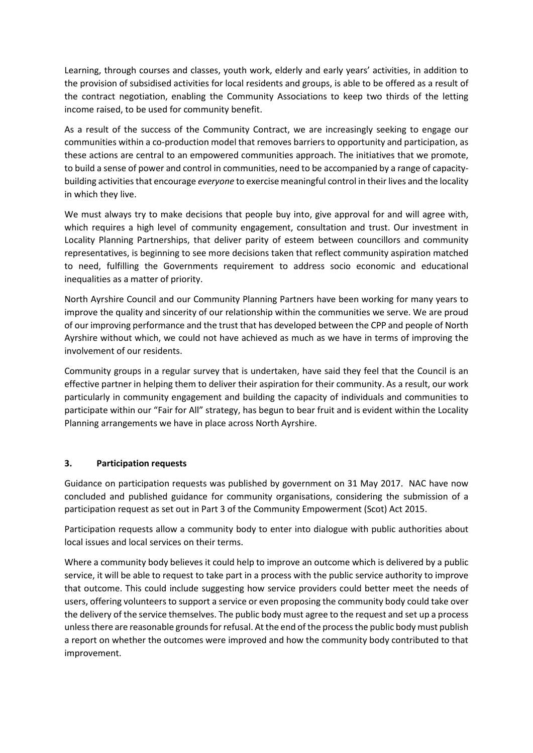Learning, through courses and classes, youth work, elderly and early years' activities, in addition to the provision of subsidised activities for local residents and groups, is able to be offered as a result of the contract negotiation, enabling the Community Associations to keep two thirds of the letting income raised, to be used for community benefit.

As a result of the success of the Community Contract, we are increasingly seeking to engage our communities within a co-production model that removes barriers to opportunity and participation, as these actions are central to an empowered communities approach. The initiatives that we promote, to build a sense of power and control in communities, need to be accompanied by a range of capacitybuilding activities that encourage *everyone* to exercise meaningful control in their lives and the locality in which they live.

We must always try to make decisions that people buy into, give approval for and will agree with, which requires a high level of community engagement, consultation and trust. Our investment in Locality Planning Partnerships, that deliver parity of esteem between councillors and community representatives, is beginning to see more decisions taken that reflect community aspiration matched to need, fulfilling the Governments requirement to address socio economic and educational inequalities as a matter of priority.

North Ayrshire Council and our Community Planning Partners have been working for many years to improve the quality and sincerity of our relationship within the communities we serve. We are proud of our improving performance and the trust that has developed between the CPP and people of North Ayrshire without which, we could not have achieved as much as we have in terms of improving the involvement of our residents.

Community groups in a regular survey that is undertaken, have said they feel that the Council is an effective partner in helping them to deliver their aspiration for their community. As a result, our work particularly in community engagement and building the capacity of individuals and communities to participate within our "Fair for All" strategy, has begun to bear fruit and is evident within the Locality Planning arrangements we have in place across North Ayrshire.

# **3. Participation requests**

Guidance on participation requests was published by government on 31 May 2017. NAC have now concluded and published guidance for community organisations, considering the submission of a participation request as set out in Part 3 of the Community Empowerment (Scot) Act 2015.

Participation requests allow a community body to enter into dialogue with public authorities about local issues and local services on their terms.

Where a community body believes it could help to improve an outcome which is delivered by a public service, it will be able to request to take part in a process with the public service authority to improve that outcome. This could include suggesting how service providers could better meet the needs of users, offering volunteers to support a service or even proposing the community body could take over the delivery of the service themselves. The public body must agree to the request and set up a process unless there are reasonable grounds for refusal. At the end of the process the public body must publish a report on whether the outcomes were improved and how the community body contributed to that improvement.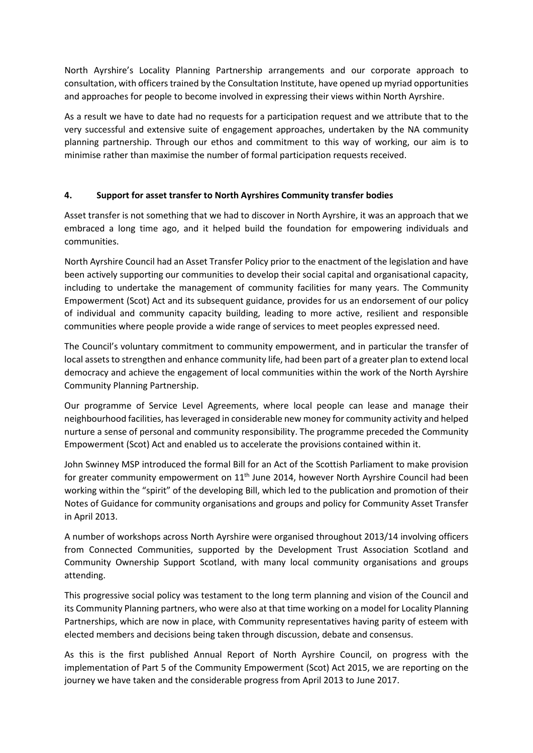North Ayrshire's Locality Planning Partnership arrangements and our corporate approach to consultation, with officers trained by the Consultation Institute, have opened up myriad opportunities and approaches for people to become involved in expressing their views within North Ayrshire.

As a result we have to date had no requests for a participation request and we attribute that to the very successful and extensive suite of engagement approaches, undertaken by the NA community planning partnership. Through our ethos and commitment to this way of working, our aim is to minimise rather than maximise the number of formal participation requests received.

# **4. Support for asset transfer to North Ayrshires Community transfer bodies**

Asset transfer is not something that we had to discover in North Ayrshire, it was an approach that we embraced a long time ago, and it helped build the foundation for empowering individuals and communities.

North Ayrshire Council had an Asset Transfer Policy prior to the enactment of the legislation and have been actively supporting our communities to develop their social capital and organisational capacity, including to undertake the management of community facilities for many years. The Community Empowerment (Scot) Act and its subsequent guidance, provides for us an endorsement of our policy of individual and community capacity building, leading to more active, resilient and responsible communities where people provide a wide range of services to meet peoples expressed need.

The Council's voluntary commitment to community empowerment, and in particular the transfer of local assets to strengthen and enhance community life, had been part of a greater plan to extend local democracy and achieve the engagement of local communities within the work of the North Ayrshire Community Planning Partnership.

Our programme of Service Level Agreements, where local people can lease and manage their neighbourhood facilities, has leveraged in considerable new money for community activity and helped nurture a sense of personal and community responsibility. The programme preceded the Community Empowerment (Scot) Act and enabled us to accelerate the provisions contained within it.

John Swinney MSP introduced the formal Bill for an Act of the Scottish Parliament to make provision for greater community empowerment on  $11<sup>th</sup>$  June 2014, however North Ayrshire Council had been working within the "spirit" of the developing Bill, which led to the publication and promotion of their Notes of Guidance for community organisations and groups and policy for Community Asset Transfer in April 2013.

A number of workshops across North Ayrshire were organised throughout 2013/14 involving officers from Connected Communities, supported by the Development Trust Association Scotland and Community Ownership Support Scotland, with many local community organisations and groups attending.

This progressive social policy was testament to the long term planning and vision of the Council and its Community Planning partners, who were also at that time working on a model for Locality Planning Partnerships, which are now in place, with Community representatives having parity of esteem with elected members and decisions being taken through discussion, debate and consensus.

As this is the first published Annual Report of North Ayrshire Council, on progress with the implementation of Part 5 of the Community Empowerment (Scot) Act 2015, we are reporting on the journey we have taken and the considerable progress from April 2013 to June 2017.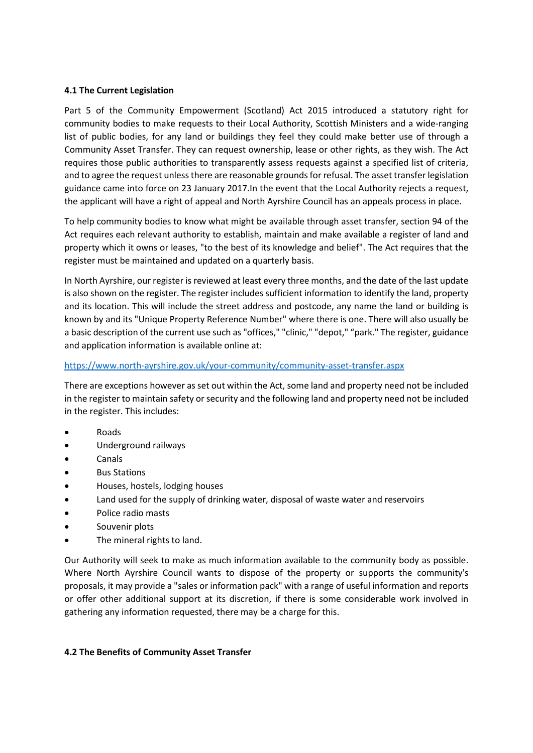### **4.1 The Current Legislation**

Part 5 of the Community Empowerment (Scotland) Act 2015 introduced a statutory right for community bodies to make requests to their Local Authority, Scottish Ministers and a wide-ranging list of public bodies, for any land or buildings they feel they could make better use of through a Community Asset Transfer. They can request ownership, lease or other rights, as they wish. The Act requires those public authorities to transparently assess requests against a specified list of criteria, and to agree the request unless there are reasonable grounds for refusal. The asset transfer legislation guidance came into force on 23 January 2017.In the event that the Local Authority rejects a request, the applicant will have a right of appeal and North Ayrshire Council has an appeals process in place.

To help community bodies to know what might be available through asset transfer, section 94 of the Act requires each relevant authority to establish, maintain and make available a register of land and property which it owns or leases, "to the best of its knowledge and belief". The Act requires that the register must be maintained and updated on a quarterly basis.

In North Ayrshire, our register is reviewed at least every three months, and the date of the last update is also shown on the register. The register includes sufficient information to identify the land, property and its location. This will include the street address and postcode, any name the land or building is known by and its "Unique Property Reference Number" where there is one. There will also usually be a basic description of the current use such as "offices," "clinic," "depot," "park." The register, guidance and application information is available online at:

### <https://www.north-ayrshire.gov.uk/your-community/community-asset-transfer.aspx>

There are exceptions however as set out within the Act, some land and property need not be included in the register to maintain safety or security and the following land and property need not be included in the register. This includes:

- Roads
- Underground railways
- Canals
- **Bus Stations**
- Houses, hostels, lodging houses
- Land used for the supply of drinking water, disposal of waste water and reservoirs
- Police radio masts
- Souvenir plots
- The mineral rights to land.

Our Authority will seek to make as much information available to the community body as possible. Where North Ayrshire Council wants to dispose of the property or supports the community's proposals, it may provide a "sales or information pack" with a range of useful information and reports or offer other additional support at its discretion, if there is some considerable work involved in gathering any information requested, there may be a charge for this.

# **4.2 The Benefits of Community Asset Transfer**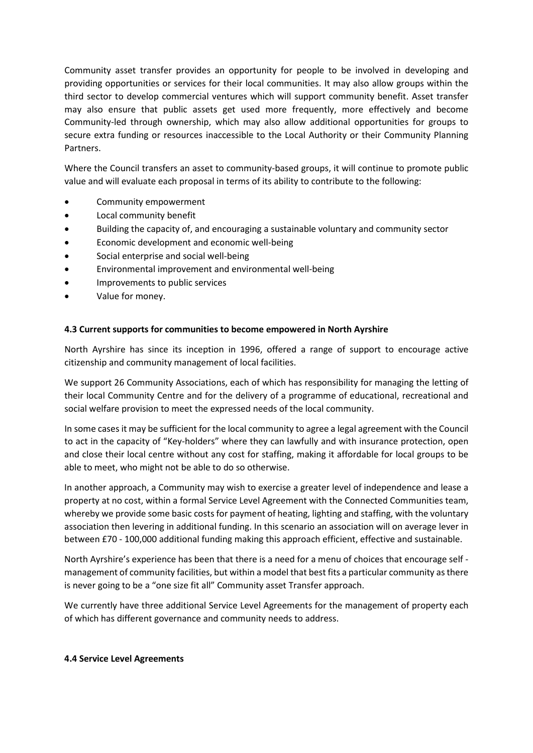Community asset transfer provides an opportunity for people to be involved in developing and providing opportunities or services for their local communities. It may also allow groups within the third sector to develop commercial ventures which will support community benefit. Asset transfer may also ensure that public assets get used more frequently, more effectively and become Community-led through ownership, which may also allow additional opportunities for groups to secure extra funding or resources inaccessible to the Local Authority or their Community Planning Partners.

Where the Council transfers an asset to community-based groups, it will continue to promote public value and will evaluate each proposal in terms of its ability to contribute to the following:

- Community empowerment
- Local community benefit
- Building the capacity of, and encouraging a sustainable voluntary and community sector
- Economic development and economic well-being
- Social enterprise and social well-being
- Environmental improvement and environmental well-being
- Improvements to public services
- Value for money.

### **4.3 Current supports for communities to become empowered in North Ayrshire**

North Ayrshire has since its inception in 1996, offered a range of support to encourage active citizenship and community management of local facilities.

We support 26 Community Associations, each of which has responsibility for managing the letting of their local Community Centre and for the delivery of a programme of educational, recreational and social welfare provision to meet the expressed needs of the local community.

In some cases it may be sufficient for the local community to agree a legal agreement with the Council to act in the capacity of "Key-holders" where they can lawfully and with insurance protection, open and close their local centre without any cost for staffing, making it affordable for local groups to be able to meet, who might not be able to do so otherwise.

In another approach, a Community may wish to exercise a greater level of independence and lease a property at no cost, within a formal Service Level Agreement with the Connected Communities team, whereby we provide some basic costs for payment of heating, lighting and staffing, with the voluntary association then levering in additional funding. In this scenario an association will on average lever in between £70 - 100,000 additional funding making this approach efficient, effective and sustainable.

North Ayrshire's experience has been that there is a need for a menu of choices that encourage self management of community facilities, but within a model that best fits a particular community as there is never going to be a "one size fit all" Community asset Transfer approach.

We currently have three additional Service Level Agreements for the management of property each of which has different governance and community needs to address.

### **4.4 Service Level Agreements**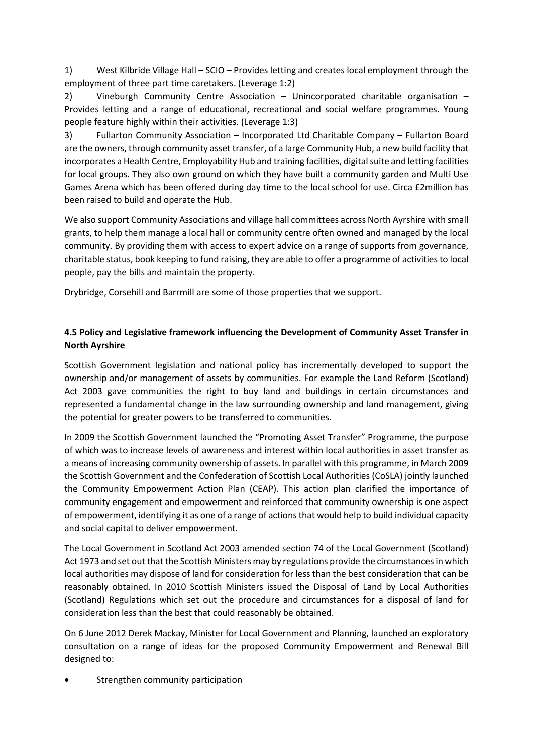1) West Kilbride Village Hall – SCIO – Provides letting and creates local employment through the employment of three part time caretakers. (Leverage 1:2)

2) Vineburgh Community Centre Association – Unincorporated charitable organisation – Provides letting and a range of educational, recreational and social welfare programmes. Young people feature highly within their activities. (Leverage 1:3)

3) Fullarton Community Association – Incorporated Ltd Charitable Company – Fullarton Board are the owners, through community asset transfer, of a large Community Hub, a new build facility that incorporates a Health Centre, Employability Hub and training facilities, digital suite and letting facilities for local groups. They also own ground on which they have built a community garden and Multi Use Games Arena which has been offered during day time to the local school for use. Circa £2million has been raised to build and operate the Hub.

We also support Community Associations and village hall committees across North Ayrshire with small grants, to help them manage a local hall or community centre often owned and managed by the local community. By providing them with access to expert advice on a range of supports from governance, charitable status, book keeping to fund raising, they are able to offer a programme of activities to local people, pay the bills and maintain the property.

Drybridge, Corsehill and Barrmill are some of those properties that we support.

# **4.5 Policy and Legislative framework influencing the Development of Community Asset Transfer in North Ayrshire**

Scottish Government legislation and national policy has incrementally developed to support the ownership and/or management of assets by communities. For example the Land Reform (Scotland) Act 2003 gave communities the right to buy land and buildings in certain circumstances and represented a fundamental change in the law surrounding ownership and land management, giving the potential for greater powers to be transferred to communities.

In 2009 the Scottish Government launched the "Promoting Asset Transfer" Programme, the purpose of which was to increase levels of awareness and interest within local authorities in asset transfer as a means of increasing community ownership of assets. In parallel with this programme, in March 2009 the Scottish Government and the Confederation of Scottish Local Authorities (CoSLA) jointly launched the Community Empowerment Action Plan (CEAP). This action plan clarified the importance of community engagement and empowerment and reinforced that community ownership is one aspect of empowerment, identifying it as one of a range of actions that would help to build individual capacity and social capital to deliver empowerment.

The Local Government in Scotland Act 2003 amended section 74 of the Local Government (Scotland) Act 1973 and set out that the Scottish Ministers may by regulations provide the circumstances in which local authorities may dispose of land for consideration for less than the best consideration that can be reasonably obtained. In 2010 Scottish Ministers issued the Disposal of Land by Local Authorities (Scotland) Regulations which set out the procedure and circumstances for a disposal of land for consideration less than the best that could reasonably be obtained.

On 6 June 2012 Derek Mackay, Minister for Local Government and Planning, launched an exploratory consultation on a range of ideas for the proposed Community Empowerment and Renewal Bill designed to:

Strengthen community participation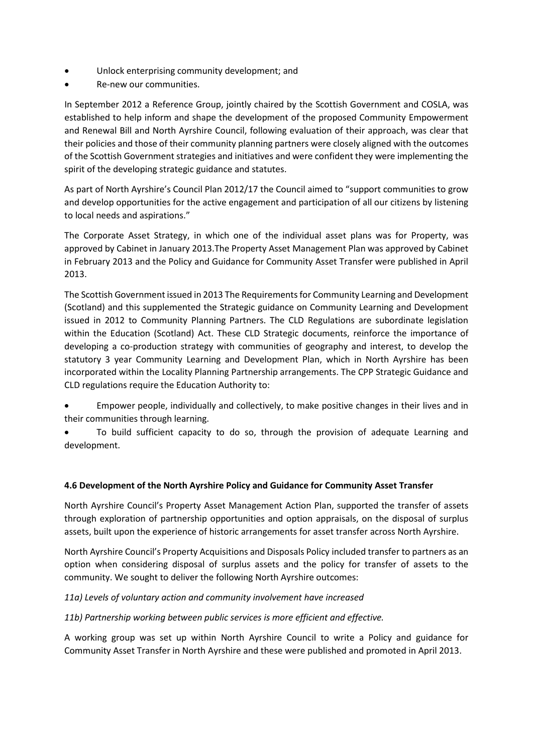- Unlock enterprising community development; and
- Re-new our communities.

In September 2012 a Reference Group, jointly chaired by the Scottish Government and COSLA, was established to help inform and shape the development of the proposed Community Empowerment and Renewal Bill and North Ayrshire Council, following evaluation of their approach, was clear that their policies and those of their community planning partners were closely aligned with the outcomes of the Scottish Government strategies and initiatives and were confident they were implementing the spirit of the developing strategic guidance and statutes.

As part of North Ayrshire's Council Plan 2012/17 the Council aimed to "support communities to grow and develop opportunities for the active engagement and participation of all our citizens by listening to local needs and aspirations."

The Corporate Asset Strategy, in which one of the individual asset plans was for Property, was approved by Cabinet in January 2013.The Property Asset Management Plan was approved by Cabinet in February 2013 and the Policy and Guidance for Community Asset Transfer were published in April 2013.

The Scottish Government issued in 2013 The Requirements for Community Learning and Development (Scotland) and this supplemented the Strategic guidance on Community Learning and Development issued in 2012 to Community Planning Partners. The CLD Regulations are subordinate legislation within the Education (Scotland) Act. These CLD Strategic documents, reinforce the importance of developing a co-production strategy with communities of geography and interest, to develop the statutory 3 year Community Learning and Development Plan, which in North Ayrshire has been incorporated within the Locality Planning Partnership arrangements. The CPP Strategic Guidance and CLD regulations require the Education Authority to:

- Empower people, individually and collectively, to make positive changes in their lives and in their communities through learning.
- To build sufficient capacity to do so, through the provision of adequate Learning and development.

# **4.6 Development of the North Ayrshire Policy and Guidance for Community Asset Transfer**

North Ayrshire Council's Property Asset Management Action Plan, supported the transfer of assets through exploration of partnership opportunities and option appraisals, on the disposal of surplus assets, built upon the experience of historic arrangements for asset transfer across North Ayrshire.

North Ayrshire Council's Property Acquisitions and Disposals Policy included transfer to partners as an option when considering disposal of surplus assets and the policy for transfer of assets to the community. We sought to deliver the following North Ayrshire outcomes:

# *11a) Levels of voluntary action and community involvement have increased*

### *11b) Partnership working between public services is more efficient and effective.*

A working group was set up within North Ayrshire Council to write a Policy and guidance for Community Asset Transfer in North Ayrshire and these were published and promoted in April 2013.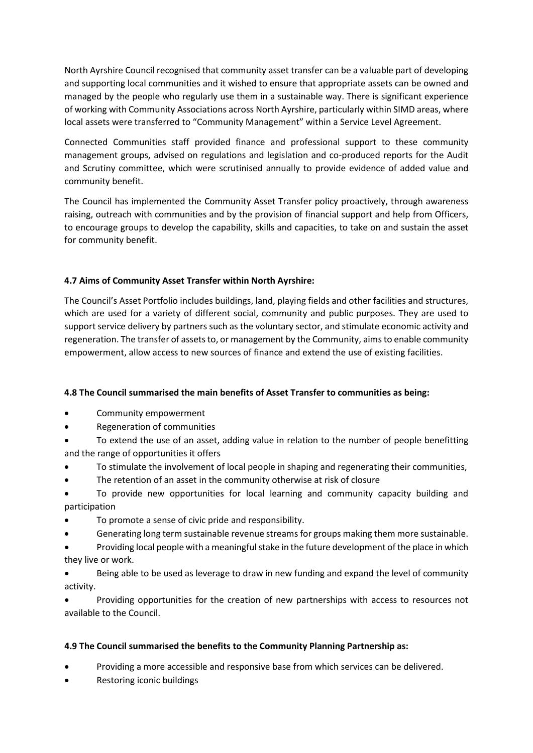North Ayrshire Council recognised that community asset transfer can be a valuable part of developing and supporting local communities and it wished to ensure that appropriate assets can be owned and managed by the people who regularly use them in a sustainable way. There is significant experience of working with Community Associations across North Ayrshire, particularly within SIMD areas, where local assets were transferred to "Community Management" within a Service Level Agreement.

Connected Communities staff provided finance and professional support to these community management groups, advised on regulations and legislation and co-produced reports for the Audit and Scrutiny committee, which were scrutinised annually to provide evidence of added value and community benefit.

The Council has implemented the Community Asset Transfer policy proactively, through awareness raising, outreach with communities and by the provision of financial support and help from Officers, to encourage groups to develop the capability, skills and capacities, to take on and sustain the asset for community benefit.

# **4.7 Aims of Community Asset Transfer within North Ayrshire:**

The Council's Asset Portfolio includes buildings, land, playing fields and other facilities and structures, which are used for a variety of different social, community and public purposes. They are used to support service delivery by partners such as the voluntary sector, and stimulate economic activity and regeneration. The transfer of assets to, or management by the Community, aims to enable community empowerment, allow access to new sources of finance and extend the use of existing facilities.

# **4.8 The Council summarised the main benefits of Asset Transfer to communities as being:**

- Community empowerment
- Regeneration of communities
- To extend the use of an asset, adding value in relation to the number of people benefitting and the range of opportunities it offers
- To stimulate the involvement of local people in shaping and regenerating their communities,
- The retention of an asset in the community otherwise at risk of closure

• To provide new opportunities for local learning and community capacity building and participation

- To promote a sense of civic pride and responsibility.
- Generating long term sustainable revenue streams for groups making them more sustainable.
- Providing local people with a meaningful stake in the future development of the place in which they live or work.

• Being able to be used as leverage to draw in new funding and expand the level of community activity.

• Providing opportunities for the creation of new partnerships with access to resources not available to the Council.

# **4.9 The Council summarised the benefits to the Community Planning Partnership as:**

- Providing a more accessible and responsive base from which services can be delivered.
- Restoring iconic buildings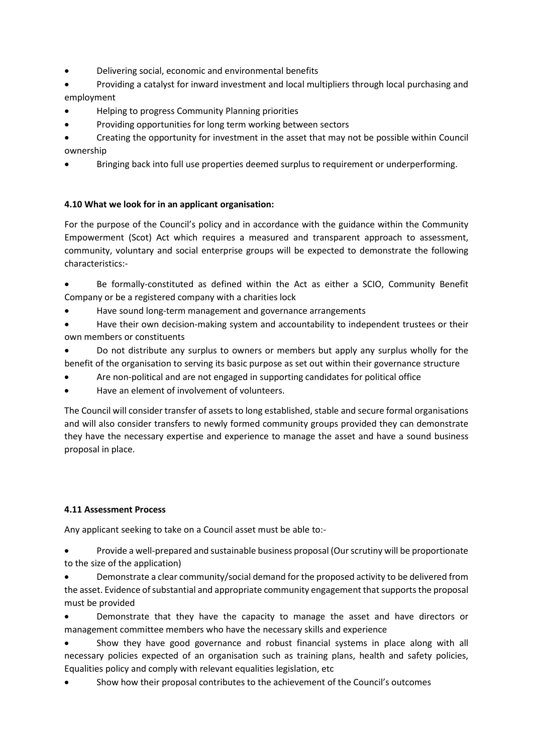- Delivering social, economic and environmental benefits
- Providing a catalyst for inward investment and local multipliers through local purchasing and employment
- Helping to progress Community Planning priorities
- Providing opportunities for long term working between sectors
- Creating the opportunity for investment in the asset that may not be possible within Council ownership
- Bringing back into full use properties deemed surplus to requirement or underperforming.

# **4.10 What we look for in an applicant organisation:**

For the purpose of the Council's policy and in accordance with the guidance within the Community Empowerment (Scot) Act which requires a measured and transparent approach to assessment, community, voluntary and social enterprise groups will be expected to demonstrate the following characteristics:-

• Be formally-constituted as defined within the Act as either a SCIO, Community Benefit Company or be a registered company with a charities lock

- Have sound long-term management and governance arrangements
- Have their own decision-making system and accountability to independent trustees or their own members or constituents

• Do not distribute any surplus to owners or members but apply any surplus wholly for the benefit of the organisation to serving its basic purpose as set out within their governance structure

- Are non-political and are not engaged in supporting candidates for political office
- Have an element of involvement of volunteers.

The Council will consider transfer of assets to long established, stable and secure formal organisations and will also consider transfers to newly formed community groups provided they can demonstrate they have the necessary expertise and experience to manage the asset and have a sound business proposal in place.

# **4.11 Assessment Process**

Any applicant seeking to take on a Council asset must be able to:-

• Provide a well-prepared and sustainable business proposal (Our scrutiny will be proportionate to the size of the application)

• Demonstrate a clear community/social demand for the proposed activity to be delivered from the asset. Evidence of substantial and appropriate community engagement that supports the proposal must be provided

• Demonstrate that they have the capacity to manage the asset and have directors or management committee members who have the necessary skills and experience

• Show they have good governance and robust financial systems in place along with all necessary policies expected of an organisation such as training plans, health and safety policies, Equalities policy and comply with relevant equalities legislation, etc

• Show how their proposal contributes to the achievement of the Council's outcomes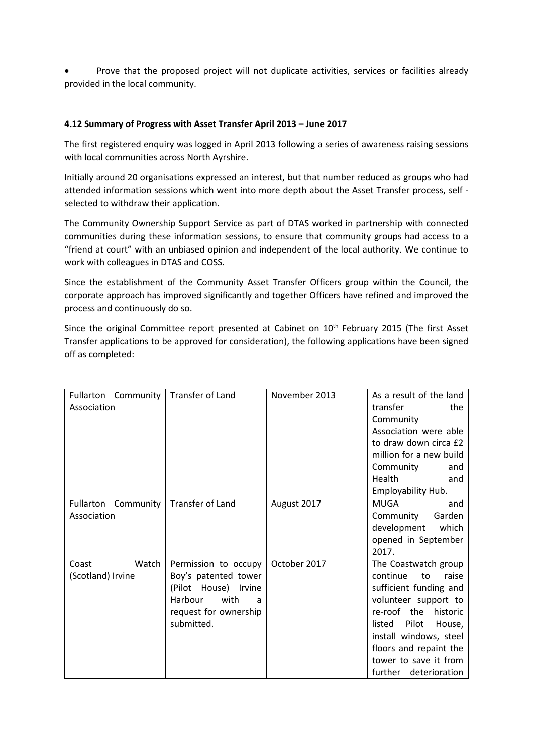• Prove that the proposed project will not duplicate activities, services or facilities already provided in the local community.

### **4.12 Summary of Progress with Asset Transfer April 2013 – June 2017**

The first registered enquiry was logged in April 2013 following a series of awareness raising sessions with local communities across North Ayrshire.

Initially around 20 organisations expressed an interest, but that number reduced as groups who had attended information sessions which went into more depth about the Asset Transfer process, self selected to withdraw their application.

The Community Ownership Support Service as part of DTAS worked in partnership with connected communities during these information sessions, to ensure that community groups had access to a "friend at court" with an unbiased opinion and independent of the local authority. We continue to work with colleagues in DTAS and COSS.

Since the establishment of the Community Asset Transfer Officers group within the Council, the corporate approach has improved significantly and together Officers have refined and improved the process and continuously do so.

Since the original Committee report presented at Cabinet on 10<sup>th</sup> February 2015 (The first Asset Transfer applications to be approved for consideration), the following applications have been signed off as completed:

| Fullarton Community<br>Association    | Transfer of Land                                                                                                                    | November 2013 | As a result of the land<br>transfer<br>the<br>Community<br>Association were able<br>to draw down circa £2<br>million for a new build<br>Community<br>and<br>Health<br>and<br>Employability Hub.                                                                 |
|---------------------------------------|-------------------------------------------------------------------------------------------------------------------------------------|---------------|-----------------------------------------------------------------------------------------------------------------------------------------------------------------------------------------------------------------------------------------------------------------|
| Community<br>Fullarton<br>Association | Transfer of Land                                                                                                                    | August 2017   | MUGA<br>and<br>Garden<br>Community<br>development<br>which<br>opened in September<br>2017.                                                                                                                                                                      |
| Watch<br>Coast<br>(Scotland) Irvine   | Permission to occupy<br>Boy's patented tower<br>(Pilot House) Irvine<br>with<br>Harbour<br>a<br>request for ownership<br>submitted. | October 2017  | The Coastwatch group<br>continue<br>raise<br>to<br>sufficient funding and<br>volunteer support to<br>re-roof the<br>historic<br>Pilot<br>listed<br>House,<br>install windows, steel<br>floors and repaint the<br>tower to save it from<br>further deterioration |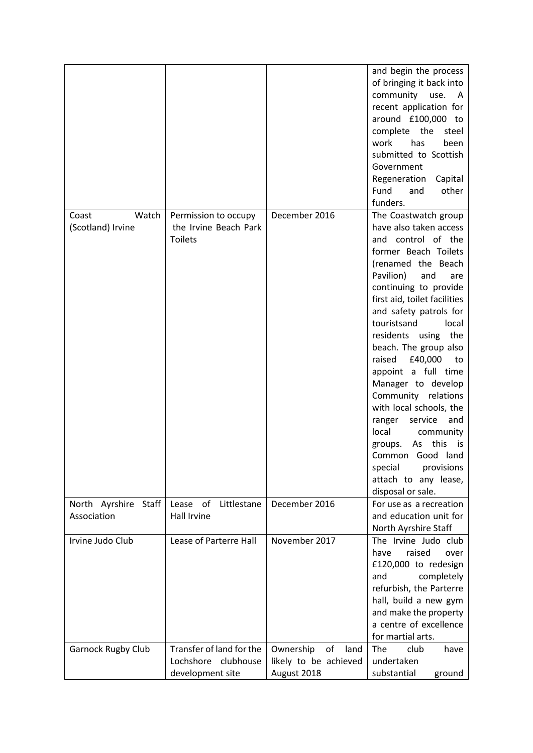|                                        |                                                                 |                         | and begin the process<br>of bringing it back into<br>community use.<br>A<br>recent application for<br>around £100,000 to<br>complete the<br>steel<br>has<br>work<br>been<br>submitted to Scottish<br>Government                                                                                                                                                                                                                                                                                                                                                                                                |
|----------------------------------------|-----------------------------------------------------------------|-------------------------|----------------------------------------------------------------------------------------------------------------------------------------------------------------------------------------------------------------------------------------------------------------------------------------------------------------------------------------------------------------------------------------------------------------------------------------------------------------------------------------------------------------------------------------------------------------------------------------------------------------|
|                                        |                                                                 |                         | Regeneration<br>Capital<br>other<br>Fund<br>and                                                                                                                                                                                                                                                                                                                                                                                                                                                                                                                                                                |
|                                        |                                                                 |                         | funders.                                                                                                                                                                                                                                                                                                                                                                                                                                                                                                                                                                                                       |
| Coast<br>Watch<br>(Scotland) Irvine    | Permission to occupy<br>the Irvine Beach Park<br><b>Toilets</b> | December 2016           | The Coastwatch group<br>have also taken access<br>and control of the<br>former Beach Toilets<br>(renamed the Beach<br>Pavilion)<br>and<br>are<br>continuing to provide<br>first aid, toilet facilities<br>and safety patrols for<br>touristsand<br>local<br>residents using the<br>beach. The group also<br>raised<br>£40,000<br>to<br>appoint a full time<br>Manager to develop<br>Community relations<br>with local schools, the<br>ranger<br>service<br>and<br>local<br>community<br>this<br>As<br>groups.<br>is.<br>Common Good land<br>special<br>provisions<br>attach to any lease,<br>disposal or sale. |
| North Ayrshire<br>Staff<br>Association | Littlestane<br>Lease<br>of<br><b>Hall Irvine</b>                | December 2016           | For use as a recreation<br>and education unit for<br>North Ayrshire Staff                                                                                                                                                                                                                                                                                                                                                                                                                                                                                                                                      |
| Irvine Judo Club                       | Lease of Parterre Hall                                          | November 2017           | The Irvine Judo club<br>raised<br>have<br>over<br>£120,000 to redesign<br>and<br>completely<br>refurbish, the Parterre<br>hall, build a new gym<br>and make the property<br>a centre of excellence<br>for martial arts.                                                                                                                                                                                                                                                                                                                                                                                        |
| <b>Garnock Rugby Club</b>              | Transfer of land for the                                        | Ownership<br>of<br>land | The<br>club<br>have                                                                                                                                                                                                                                                                                                                                                                                                                                                                                                                                                                                            |
|                                        | Lochshore<br>clubhouse                                          | likely to be achieved   | undertaken                                                                                                                                                                                                                                                                                                                                                                                                                                                                                                                                                                                                     |
|                                        | development site                                                | August 2018             | substantial<br>ground                                                                                                                                                                                                                                                                                                                                                                                                                                                                                                                                                                                          |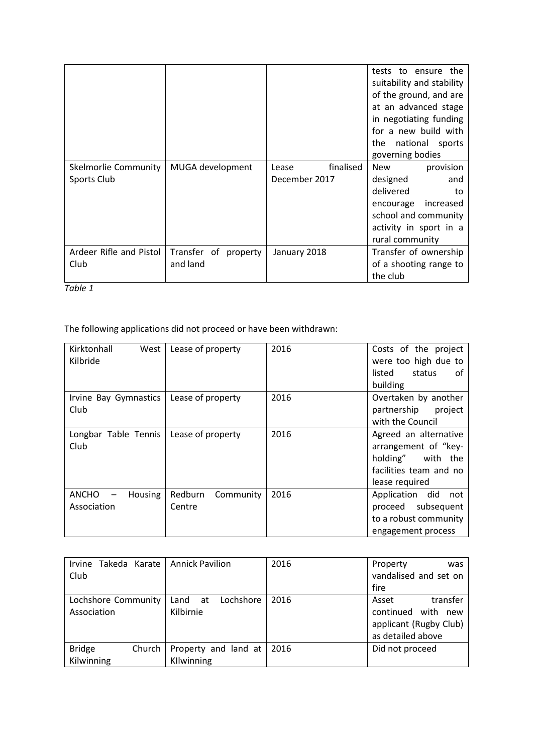|                         |                      |                    | tests to<br>ensure the<br>suitability and stability<br>of the ground, and are<br>at an advanced stage<br>in negotiating funding<br>for a new build with<br>national sports<br>the<br>governing bodies |
|-------------------------|----------------------|--------------------|-------------------------------------------------------------------------------------------------------------------------------------------------------------------------------------------------------|
| Skelmorlie Community    | MUGA development     | finalised<br>Lease | <b>New</b><br>provision                                                                                                                                                                               |
| Sports Club             |                      | December 2017      | designed<br>and                                                                                                                                                                                       |
|                         |                      |                    | delivered<br>to                                                                                                                                                                                       |
|                         |                      |                    | increased<br>encourage                                                                                                                                                                                |
|                         |                      |                    | school and community                                                                                                                                                                                  |
|                         |                      |                    | activity in sport in a                                                                                                                                                                                |
|                         |                      |                    | rural community                                                                                                                                                                                       |
| Ardeer Rifle and Pistol | Transfer of property | January 2018       | Transfer of ownership                                                                                                                                                                                 |
| Club                    | and land             |                    | of a shooting range to                                                                                                                                                                                |
|                         |                      |                    | the club                                                                                                                                                                                              |

*Table 1*

The following applications did not proceed or have been withdrawn:

| Kirktonhall<br>West<br>Kilbride | Lease of property              | 2016 | Costs of the project<br>were too high due to<br>listed<br>status<br>of<br>building                             |
|---------------------------------|--------------------------------|------|----------------------------------------------------------------------------------------------------------------|
| Irvine Bay Gymnastics<br>Club   | Lease of property              | 2016 | Overtaken by another<br>partnership<br>project<br>with the Council                                             |
| Longbar Table Tennis<br>Club    | Lease of property              | 2016 | Agreed an alternative<br>arrangement of "key-<br>holding" with the<br>facilities team and no<br>lease required |
| ANCHO<br>Housing<br>Association | Redburn<br>Community<br>Centre | 2016 | did<br>Application<br>not<br>subsequent<br>proceed<br>to a robust community<br>engagement process              |

| Takeda Karate   Annick Pavilion<br>Irvine<br>Club |                                      | 2016 | Property<br>was<br>vandalised and set on<br>fire                                             |
|---------------------------------------------------|--------------------------------------|------|----------------------------------------------------------------------------------------------|
| Lochshore Community<br>Association                | Lochshore<br>Land<br>at<br>Kilbirnie | 2016 | transfer<br>Asset<br>continued<br>with<br>new<br>applicant (Rugby Club)<br>as detailed above |
| <b>Bridge</b><br>Church<br>Kilwinning             | Property and land at<br>Kllwinning   | 2016 | Did not proceed                                                                              |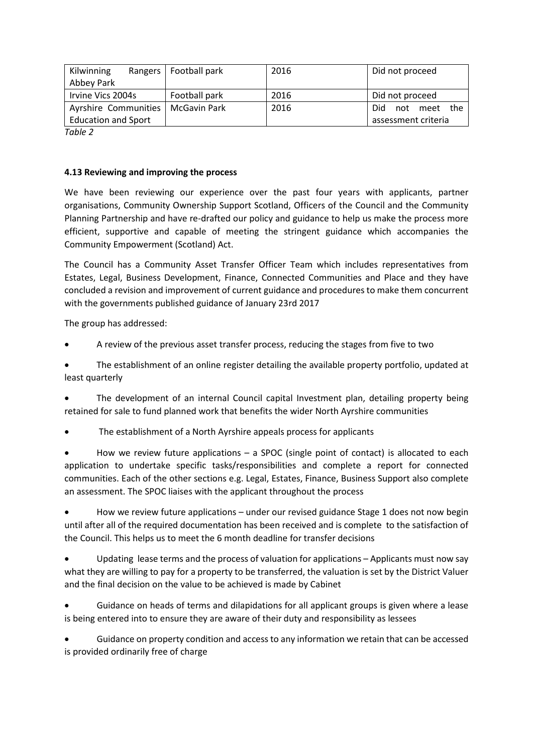| Kilwinning                 | Rangers   Football park | 2016 | Did not proceed         |
|----------------------------|-------------------------|------|-------------------------|
| Abbey Park                 |                         |      |                         |
| Irvine Vics 2004s          | Football park           | 2016 | Did not proceed         |
| Ayrshire Communities       | McGavin Park            | 2016 | Did.<br>the<br>not meet |
| <b>Education and Sport</b> |                         |      | assessment criteria     |
| $T - L L - T$              |                         |      |                         |

*Table 2*

### **4.13 Reviewing and improving the process**

We have been reviewing our experience over the past four years with applicants, partner organisations, Community Ownership Support Scotland, Officers of the Council and the Community Planning Partnership and have re-drafted our policy and guidance to help us make the process more efficient, supportive and capable of meeting the stringent guidance which accompanies the Community Empowerment (Scotland) Act.

The Council has a Community Asset Transfer Officer Team which includes representatives from Estates, Legal, Business Development, Finance, Connected Communities and Place and they have concluded a revision and improvement of current guidance and procedures to make them concurrent with the governments published guidance of January 23rd 2017

The group has addressed:

• A review of the previous asset transfer process, reducing the stages from five to two

• The establishment of an online register detailing the available property portfolio, updated at least quarterly

• The development of an internal Council capital Investment plan, detailing property being retained for sale to fund planned work that benefits the wider North Ayrshire communities

The establishment of a North Ayrshire appeals process for applicants

How we review future applications  $-$  a SPOC (single point of contact) is allocated to each application to undertake specific tasks/responsibilities and complete a report for connected communities. Each of the other sections e.g. Legal, Estates, Finance, Business Support also complete an assessment. The SPOC liaises with the applicant throughout the process

• How we review future applications – under our revised guidance Stage 1 does not now begin until after all of the required documentation has been received and is complete to the satisfaction of the Council. This helps us to meet the 6 month deadline for transfer decisions

Updating lease terms and the process of valuation for applications – Applicants must now say what they are willing to pay for a property to be transferred, the valuation is set by the District Valuer and the final decision on the value to be achieved is made by Cabinet

• Guidance on heads of terms and dilapidations for all applicant groups is given where a lease is being entered into to ensure they are aware of their duty and responsibility as lessees

• Guidance on property condition and access to any information we retain that can be accessed is provided ordinarily free of charge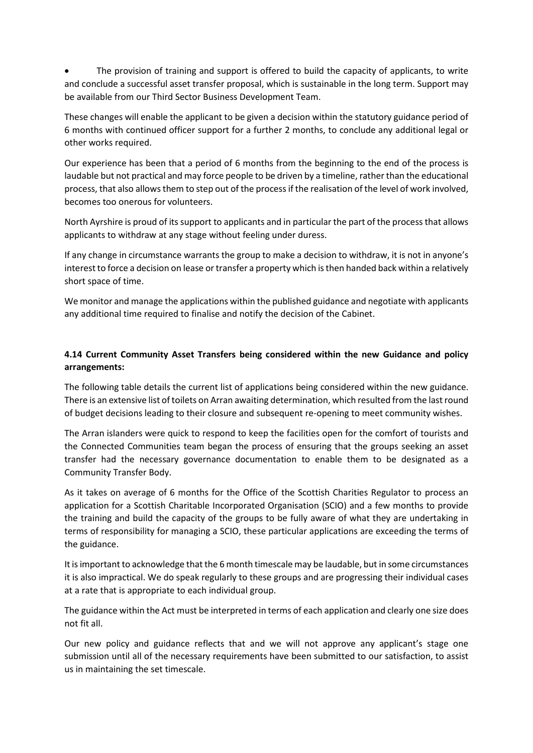The provision of training and support is offered to build the capacity of applicants, to write and conclude a successful asset transfer proposal, which is sustainable in the long term. Support may be available from our Third Sector Business Development Team.

These changes will enable the applicant to be given a decision within the statutory guidance period of 6 months with continued officer support for a further 2 months, to conclude any additional legal or other works required.

Our experience has been that a period of 6 months from the beginning to the end of the process is laudable but not practical and may force people to be driven by a timeline, rather than the educational process, that also allows them to step out of the process if the realisation of the level of work involved, becomes too onerous for volunteers.

North Ayrshire is proud of its support to applicants and in particular the part of the process that allows applicants to withdraw at any stage without feeling under duress.

If any change in circumstance warrants the group to make a decision to withdraw, it is not in anyone's interest to force a decision on lease or transfer a property which is then handed back within a relatively short space of time.

We monitor and manage the applications within the published guidance and negotiate with applicants any additional time required to finalise and notify the decision of the Cabinet.

# **4.14 Current Community Asset Transfers being considered within the new Guidance and policy arrangements:**

The following table details the current list of applications being considered within the new guidance. There is an extensive list of toilets on Arran awaiting determination, which resulted from the last round of budget decisions leading to their closure and subsequent re-opening to meet community wishes.

The Arran islanders were quick to respond to keep the facilities open for the comfort of tourists and the Connected Communities team began the process of ensuring that the groups seeking an asset transfer had the necessary governance documentation to enable them to be designated as a Community Transfer Body.

As it takes on average of 6 months for the Office of the Scottish Charities Regulator to process an application for a Scottish Charitable Incorporated Organisation (SCIO) and a few months to provide the training and build the capacity of the groups to be fully aware of what they are undertaking in terms of responsibility for managing a SCIO, these particular applications are exceeding the terms of the guidance.

It is important to acknowledge that the 6 month timescale may be laudable, but in some circumstances it is also impractical. We do speak regularly to these groups and are progressing their individual cases at a rate that is appropriate to each individual group.

The guidance within the Act must be interpreted in terms of each application and clearly one size does not fit all.

Our new policy and guidance reflects that and we will not approve any applicant's stage one submission until all of the necessary requirements have been submitted to our satisfaction, to assist us in maintaining the set timescale.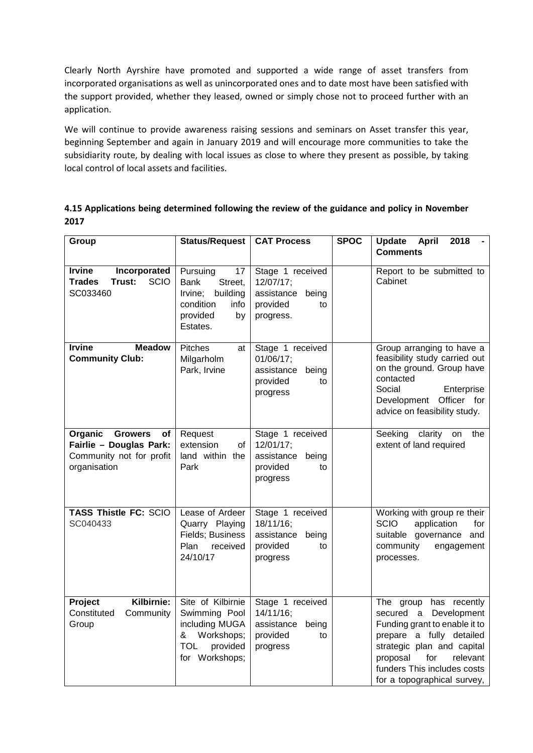Clearly North Ayrshire have promoted and supported a wide range of asset transfers from incorporated organisations as well as unincorporated ones and to date most have been satisfied with the support provided, whether they leased, owned or simply chose not to proceed further with an application.

We will continue to provide awareness raising sessions and seminars on Asset transfer this year, beginning September and again in January 2019 and will encourage more communities to take the subsidiarity route, by dealing with local issues as close to where they present as possible, by taking local control of local assets and facilities.

**4.15 Applications being determined following the review of the guidance and policy in November 2017**

| Group                                                                                                  | <b>Status/Request</b>                                                                                               | <b>CAT Process</b>                                                                 |  | <b>Update</b><br><b>April</b><br>2018<br><b>Comments</b>                                                                                                                                                                                |
|--------------------------------------------------------------------------------------------------------|---------------------------------------------------------------------------------------------------------------------|------------------------------------------------------------------------------------|--|-----------------------------------------------------------------------------------------------------------------------------------------------------------------------------------------------------------------------------------------|
| <b>Irvine</b><br>Incorporated<br><b>SCIO</b><br>Trust:<br>Trades<br>SC033460                           | Pursuing<br>17<br><b>Bank</b><br>Street,<br>building<br>Irvine;<br>condition<br>info<br>provided<br>by<br>Estates.  | Stage 1 received<br>12/07/17;<br>assistance being<br>provided<br>to<br>progress.   |  | Report to be submitted to<br>Cabinet                                                                                                                                                                                                    |
| <b>Meadow</b><br><b>Irvine</b><br><b>Community Club:</b>                                               | <b>Pitches</b><br>at<br>Milgarholm<br>Park, Irvine                                                                  | Stage 1 received<br>01/06/17:<br>assistance being<br>provided<br>to<br>progress    |  | Group arranging to have a<br>feasibility study carried out<br>on the ground. Group have<br>contacted<br>Social<br>Enterprise<br>Development Officer for<br>advice on feasibility study.                                                 |
| Organic<br><b>Growers</b><br>оf<br>Fairlie - Douglas Park:<br>Community not for profit<br>organisation | Request<br>extension<br>οf<br>land within the<br>Park                                                               | Stage 1 received<br>12/01/17;<br>assistance<br>being<br>provided<br>to<br>progress |  | clarity<br>Seeking<br>the<br>on<br>extent of land required                                                                                                                                                                              |
| <b>TASS Thistle FC: SCIO</b><br>SC040433                                                               | Lease of Ardeer<br>Quarry Playing<br>Fields; Business<br>Plan<br>received<br>24/10/17                               | Stage 1 received<br>18/11/16;<br>assistance<br>being<br>provided<br>to<br>progress |  | Working with group re their<br><b>SCIO</b><br>application<br>for<br>suitable governance<br>and<br>community<br>engagement<br>processes.                                                                                                 |
| Kilbirnie:<br>Project<br>Constituted<br>Community<br>Group                                             | Site of Kilbirnie<br>Swimming Pool<br>including MUGA<br>Workshops;<br>&<br><b>TOL</b><br>provided<br>for Workshops; | Stage 1 received<br>14/11/16;<br>assistance<br>being<br>provided<br>to<br>progress |  | The group has recently<br>secured a Development<br>Funding grant to enable it to<br>prepare a fully detailed<br>strategic plan and capital<br>proposal<br>relevant<br>for<br>funders This includes costs<br>for a topographical survey, |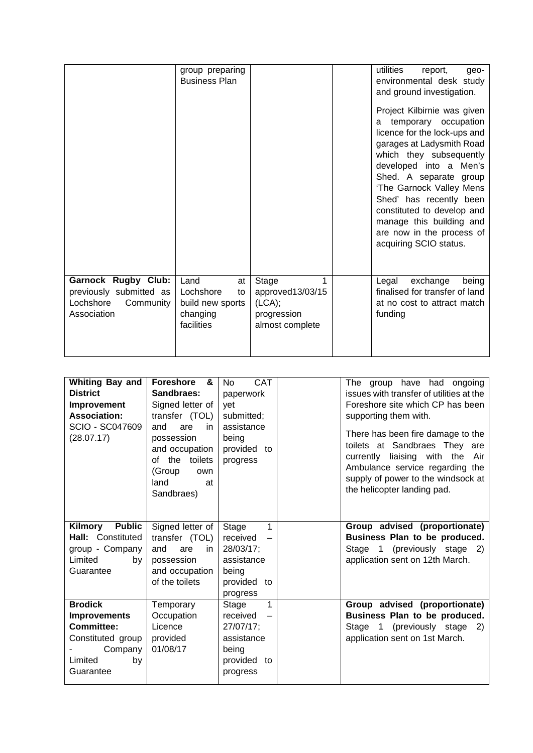|                                                                                                | group preparing<br><b>Business Plan</b>                                     |                                                                            | utilities<br>report,<br>geo-<br>environmental desk study<br>and ground investigation.<br>Project Kilbirnie was given<br>temporary occupation<br>a<br>licence for the lock-ups and<br>garages at Ladysmith Road<br>which they subsequently<br>developed into a Men's<br>Shed. A separate group<br>'The Garnock Valley Mens<br>Shed' has recently been<br>constituted to develop and<br>manage this building and<br>are now in the process of<br>acquiring SCIO status. |
|------------------------------------------------------------------------------------------------|-----------------------------------------------------------------------------|----------------------------------------------------------------------------|-----------------------------------------------------------------------------------------------------------------------------------------------------------------------------------------------------------------------------------------------------------------------------------------------------------------------------------------------------------------------------------------------------------------------------------------------------------------------|
| <b>Garnock Rugby Club:</b><br>previously submitted as<br>Lochshore<br>Community<br>Association | Land<br>at<br>Lochshore<br>to<br>build new sports<br>changing<br>facilities | Stage<br>1<br>approved13/03/15<br>(LCA);<br>progression<br>almost complete | Legal<br>exchange<br>being<br>finalised for transfer of land<br>at no cost to attract match<br>funding                                                                                                                                                                                                                                                                                                                                                                |

| <b>Whiting Bay and</b><br><b>District</b><br>Improvement<br><b>Association:</b><br>SCIO - SC047609<br>(28.07.17)         | Foreshore &<br>Sandbraes:<br>Signed letter of<br>transfer (TOL)<br>and<br>are<br>in.<br>possession<br>and occupation<br>the toilets<br>of<br>(Group<br>own<br>land<br>at<br>Sandbraes) | <b>CAT</b><br><b>No</b><br>paperwork<br>yet<br>submitted;<br>assistance<br>being<br>provided to<br>progress       | The group have had ongoing<br>issues with transfer of utilities at the<br>Foreshore site which CP has been<br>supporting them with.<br>There has been fire damage to the<br>toilets at Sandbraes They are<br>currently liaising with the<br>Air<br>Ambulance service regarding the<br>supply of power to the windsock at<br>the helicopter landing pad. |
|--------------------------------------------------------------------------------------------------------------------------|----------------------------------------------------------------------------------------------------------------------------------------------------------------------------------------|-------------------------------------------------------------------------------------------------------------------|---------------------------------------------------------------------------------------------------------------------------------------------------------------------------------------------------------------------------------------------------------------------------------------------------------------------------------------------------------|
| Kilmory Public<br>Hall: Constituted<br>group - Company<br>Limited<br>by<br>Guarantee                                     | Signed letter of<br>transfer (TOL)<br>and<br>are<br>in<br>possession<br>and occupation<br>of the toilets                                                                               | 1<br>Stage<br>received<br>$\overline{\phantom{0}}$<br>28/03/17:<br>assistance<br>being<br>provided to<br>progress | Group advised (proportionate)<br>Business Plan to be produced.<br>Stage 1 (previously stage 2)<br>application sent on 12th March.                                                                                                                                                                                                                       |
| <b>Brodick</b><br><b>Improvements</b><br><b>Committee:</b><br>Constituted group<br>Company<br>Limited<br>by<br>Guarantee | Temporary<br>Occupation<br>Licence<br>provided<br>01/08/17                                                                                                                             | 1<br>Stage<br>received<br>27/07/17;<br>assistance<br>being<br>provided to<br>progress                             | Group advised (proportionate)<br>Business Plan to be produced.<br>Stage 1 (previously stage<br>2)<br>application sent on 1st March.                                                                                                                                                                                                                     |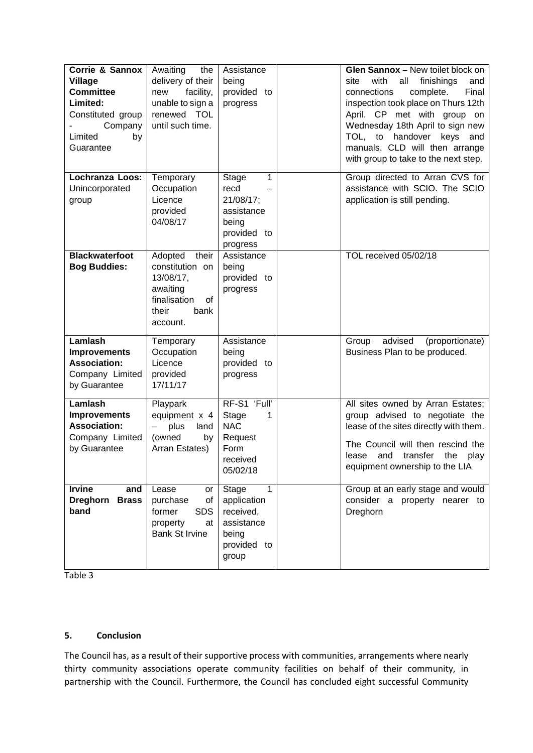| Corrie & Sannox<br><b>Village</b><br><b>Committee</b><br>Limited:<br>Constituted group<br>Company<br>Limited<br>by<br>Guarantee | Awaiting<br>the<br>delivery of their<br>facility,<br>new<br>unable to sign a<br>renewed TOL<br>until such time. | Assistance<br>being<br>provided to<br>progress                                                   | Glen Sannox - New toilet block on<br>with<br>all<br>finishings<br>site<br>and<br>Final<br>connections<br>complete.<br>inspection took place on Thurs 12th<br>April. CP met with group on<br>Wednesday 18th April to sign new<br>TOL, to handover keys<br>and<br>manuals. CLD will then arrange<br>with group to take to the next step. |
|---------------------------------------------------------------------------------------------------------------------------------|-----------------------------------------------------------------------------------------------------------------|--------------------------------------------------------------------------------------------------|----------------------------------------------------------------------------------------------------------------------------------------------------------------------------------------------------------------------------------------------------------------------------------------------------------------------------------------|
| Lochranza Loos:<br>Unincorporated<br>group                                                                                      | Temporary<br>Occupation<br>Licence<br>provided<br>04/08/17                                                      | 1<br>Stage<br>recd<br>21/08/17;<br>assistance<br>being<br>provided to<br>progress                | Group directed to Arran CVS for<br>assistance with SCIO. The SCIO<br>application is still pending.                                                                                                                                                                                                                                     |
| <b>Blackwaterfoot</b><br><b>Bog Buddies:</b>                                                                                    | Adopted<br>their<br>constitution on<br>13/08/17,<br>awaiting<br>finalisation<br>of<br>their<br>bank<br>account. | Assistance<br>being<br>provided to<br>progress                                                   | TOL received 05/02/18                                                                                                                                                                                                                                                                                                                  |
| Lamlash<br><b>Improvements</b><br><b>Association:</b><br>Company Limited<br>by Guarantee                                        | Temporary<br>Occupation<br>Licence<br>provided<br>17/11/17                                                      | Assistance<br>being<br>provided to<br>progress                                                   | advised<br>(proportionate)<br>Group<br>Business Plan to be produced.                                                                                                                                                                                                                                                                   |
| Lamlash<br><b>Improvements</b><br><b>Association:</b><br>Company Limited<br>by Guarantee                                        | Playpark<br>equipment x 4<br>plus<br>land<br>(owned<br>by<br>Arran Estates)                                     | RF-S1 'Full'<br>Stage<br>1<br><b>NAC</b><br>Request<br>Form<br>received<br>05/02/18              | All sites owned by Arran Estates;<br>group advised to negotiate the<br>lease of the sites directly with them.<br>The Council will then rescind the<br>transfer<br>the<br>play<br>lease<br>and<br>equipment ownership to the LIA                                                                                                        |
| <b>Irvine</b><br>and<br><b>Brass</b><br><b>Dreghorn</b><br>band                                                                 | Lease<br>or<br>of<br>purchase<br><b>SDS</b><br>former<br>property<br>at<br><b>Bank St Irvine</b>                | $\mathbf{1}$<br>Stage<br>application<br>received,<br>assistance<br>being<br>provided to<br>group | Group at an early stage and would<br>consider a property nearer to<br>Dreghorn                                                                                                                                                                                                                                                         |

Table 3

### **5. Conclusion**

The Council has, as a result of their supportive process with communities, arrangements where nearly thirty community associations operate community facilities on behalf of their community, in partnership with the Council. Furthermore, the Council has concluded eight successful Community